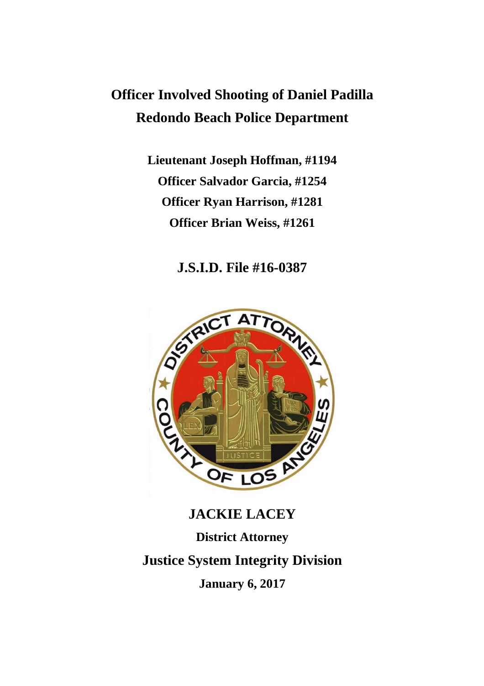## **Officer Involved Shooting of Daniel Padilla Redondo Beach Police Department**

**Lieutenant Joseph Hoffman, #1194 Officer Salvador Garcia, #1254 Officer Ryan Harrison, #1281 Officer Brian Weiss, #1261**

**J.S.I.D. File #16-0387**



# **JACKIE LACEY District Attorney Justice System Integrity Division January 6, 2017**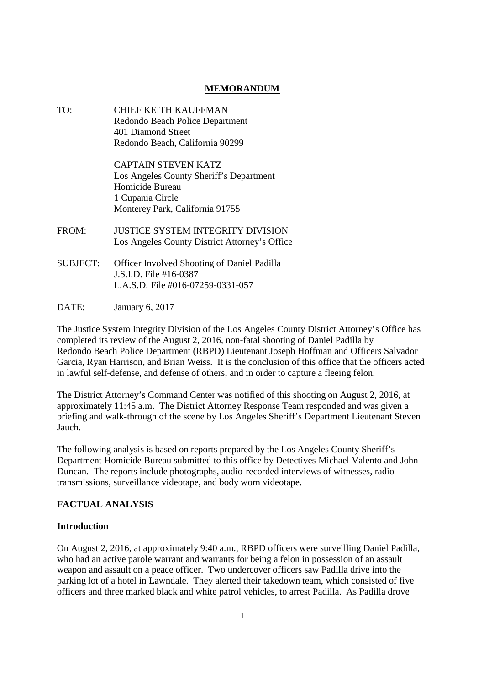## **MEMORANDUM**

- TO: CHIEF KEITH KAUFFMAN Redondo Beach Police Department 401 Diamond Street Redondo Beach, California 90299 CAPTAIN STEVEN KATZ Los Angeles County Sheriff's Department Homicide Bureau 1 Cupania Circle Monterey Park, California 91755 FROM: JUSTICE SYSTEM INTEGRITY DIVISION Los Angeles County District Attorney's Office SUBJECT: Officer Involved Shooting of Daniel Padilla J.S.I.D. File #16-0387 L.A.S.D. File #016-07259-0331-057
- DATE: January 6, 2017

The Justice System Integrity Division of the Los Angeles County District Attorney's Office has completed its review of the August 2, 2016, non-fatal shooting of Daniel Padilla by Redondo Beach Police Department (RBPD) Lieutenant Joseph Hoffman and Officers Salvador Garcia, Ryan Harrison, and Brian Weiss. It is the conclusion of this office that the officers acted in lawful self-defense, and defense of others, and in order to capture a fleeing felon.

The District Attorney's Command Center was notified of this shooting on August 2, 2016, at approximately 11:45 a.m. The District Attorney Response Team responded and was given a briefing and walk-through of the scene by Los Angeles Sheriff's Department Lieutenant Steven Jauch.

The following analysis is based on reports prepared by the Los Angeles County Sheriff's Department Homicide Bureau submitted to this office by Detectives Michael Valento and John Duncan. The reports include photographs, audio-recorded interviews of witnesses, radio transmissions, surveillance videotape, and body worn videotape.

#### **FACTUAL ANALYSIS**

#### **Introduction**

On August 2, 2016, at approximately 9:40 a.m., RBPD officers were surveilling Daniel Padilla, who had an active parole warrant and warrants for being a felon in possession of an assault weapon and assault on a peace officer. Two undercover officers saw Padilla drive into the parking lot of a hotel in Lawndale. They alerted their takedown team, which consisted of five officers and three marked black and white patrol vehicles, to arrest Padilla. As Padilla drove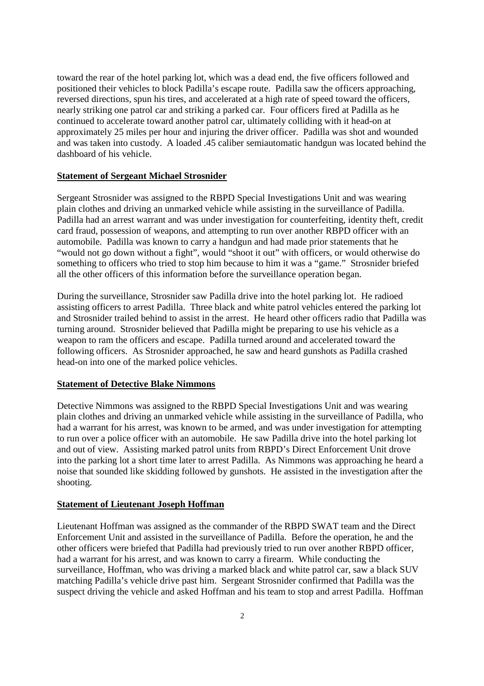toward the rear of the hotel parking lot, which was a dead end, the five officers followed and positioned their vehicles to block Padilla's escape route. Padilla saw the officers approaching, reversed directions, spun his tires, and accelerated at a high rate of speed toward the officers, nearly striking one patrol car and striking a parked car. Four officers fired at Padilla as he continued to accelerate toward another patrol car, ultimately colliding with it head-on at approximately 25 miles per hour and injuring the driver officer. Padilla was shot and wounded and was taken into custody. A loaded .45 caliber semiautomatic handgun was located behind the dashboard of his vehicle.

## **Statement of Sergeant Michael Strosnider**

Sergeant Strosnider was assigned to the RBPD Special Investigations Unit and was wearing plain clothes and driving an unmarked vehicle while assisting in the surveillance of Padilla. Padilla had an arrest warrant and was under investigation for counterfeiting, identity theft, credit card fraud, possession of weapons, and attempting to run over another RBPD officer with an automobile. Padilla was known to carry a handgun and had made prior statements that he "would not go down without a fight", would "shoot it out" with officers, or would otherwise do something to officers who tried to stop him because to him it was a "game." Strosnider briefed all the other officers of this information before the surveillance operation began.

During the surveillance, Strosnider saw Padilla drive into the hotel parking lot. He radioed assisting officers to arrest Padilla. Three black and white patrol vehicles entered the parking lot and Strosnider trailed behind to assist in the arrest. He heard other officers radio that Padilla was turning around. Strosnider believed that Padilla might be preparing to use his vehicle as a weapon to ram the officers and escape. Padilla turned around and accelerated toward the following officers. As Strosnider approached, he saw and heard gunshots as Padilla crashed head-on into one of the marked police vehicles.

#### **Statement of Detective Blake Nimmons**

Detective Nimmons was assigned to the RBPD Special Investigations Unit and was wearing plain clothes and driving an unmarked vehicle while assisting in the surveillance of Padilla, who had a warrant for his arrest, was known to be armed, and was under investigation for attempting to run over a police officer with an automobile. He saw Padilla drive into the hotel parking lot and out of view. Assisting marked patrol units from RBPD's Direct Enforcement Unit drove into the parking lot a short time later to arrest Padilla. As Nimmons was approaching he heard a noise that sounded like skidding followed by gunshots. He assisted in the investigation after the shooting.

#### **Statement of Lieutenant Joseph Hoffman**

Lieutenant Hoffman was assigned as the commander of the RBPD SWAT team and the Direct Enforcement Unit and assisted in the surveillance of Padilla. Before the operation, he and the other officers were briefed that Padilla had previously tried to run over another RBPD officer, had a warrant for his arrest, and was known to carry a firearm. While conducting the surveillance, Hoffman, who was driving a marked black and white patrol car, saw a black SUV matching Padilla's vehicle drive past him. Sergeant Strosnider confirmed that Padilla was the suspect driving the vehicle and asked Hoffman and his team to stop and arrest Padilla. Hoffman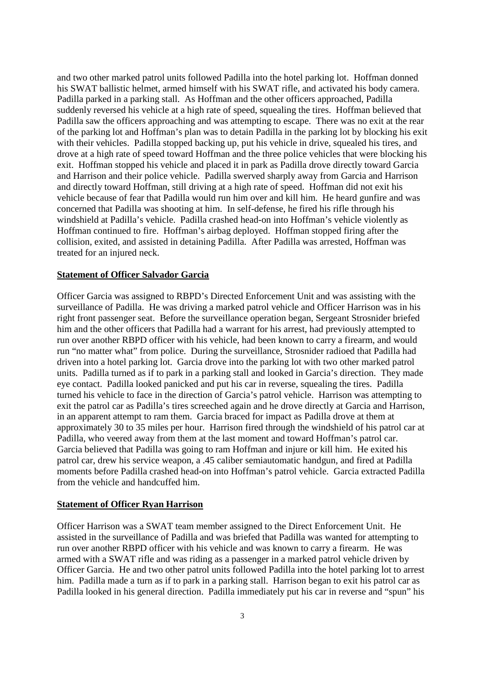and two other marked patrol units followed Padilla into the hotel parking lot. Hoffman donned his SWAT ballistic helmet, armed himself with his SWAT rifle, and activated his body camera. Padilla parked in a parking stall. As Hoffman and the other officers approached, Padilla suddenly reversed his vehicle at a high rate of speed, squealing the tires. Hoffman believed that Padilla saw the officers approaching and was attempting to escape. There was no exit at the rear of the parking lot and Hoffman's plan was to detain Padilla in the parking lot by blocking his exit with their vehicles. Padilla stopped backing up, put his vehicle in drive, squealed his tires, and drove at a high rate of speed toward Hoffman and the three police vehicles that were blocking his exit. Hoffman stopped his vehicle and placed it in park as Padilla drove directly toward Garcia and Harrison and their police vehicle. Padilla swerved sharply away from Garcia and Harrison and directly toward Hoffman, still driving at a high rate of speed. Hoffman did not exit his vehicle because of fear that Padilla would run him over and kill him. He heard gunfire and was concerned that Padilla was shooting at him. In self-defense, he fired his rifle through his windshield at Padilla's vehicle. Padilla crashed head-on into Hoffman's vehicle violently as Hoffman continued to fire. Hoffman's airbag deployed. Hoffman stopped firing after the collision, exited, and assisted in detaining Padilla. After Padilla was arrested, Hoffman was treated for an injured neck.

#### **Statement of Officer Salvador Garcia**

Officer Garcia was assigned to RBPD's Directed Enforcement Unit and was assisting with the surveillance of Padilla. He was driving a marked patrol vehicle and Officer Harrison was in his right front passenger seat. Before the surveillance operation began, Sergeant Strosnider briefed him and the other officers that Padilla had a warrant for his arrest, had previously attempted to run over another RBPD officer with his vehicle, had been known to carry a firearm, and would run "no matter what" from police. During the surveillance, Strosnider radioed that Padilla had driven into a hotel parking lot. Garcia drove into the parking lot with two other marked patrol units. Padilla turned as if to park in a parking stall and looked in Garcia's direction. They made eye contact. Padilla looked panicked and put his car in reverse, squealing the tires. Padilla turned his vehicle to face in the direction of Garcia's patrol vehicle. Harrison was attempting to exit the patrol car as Padilla's tires screeched again and he drove directly at Garcia and Harrison, in an apparent attempt to ram them. Garcia braced for impact as Padilla drove at them at approximately 30 to 35 miles per hour. Harrison fired through the windshield of his patrol car at Padilla, who veered away from them at the last moment and toward Hoffman's patrol car. Garcia believed that Padilla was going to ram Hoffman and injure or kill him. He exited his patrol car, drew his service weapon, a .45 caliber semiautomatic handgun, and fired at Padilla moments before Padilla crashed head-on into Hoffman's patrol vehicle. Garcia extracted Padilla from the vehicle and handcuffed him.

#### **Statement of Officer Ryan Harrison**

Officer Harrison was a SWAT team member assigned to the Direct Enforcement Unit. He assisted in the surveillance of Padilla and was briefed that Padilla was wanted for attempting to run over another RBPD officer with his vehicle and was known to carry a firearm. He was armed with a SWAT rifle and was riding as a passenger in a marked patrol vehicle driven by Officer Garcia. He and two other patrol units followed Padilla into the hotel parking lot to arrest him. Padilla made a turn as if to park in a parking stall. Harrison began to exit his patrol car as Padilla looked in his general direction. Padilla immediately put his car in reverse and "spun" his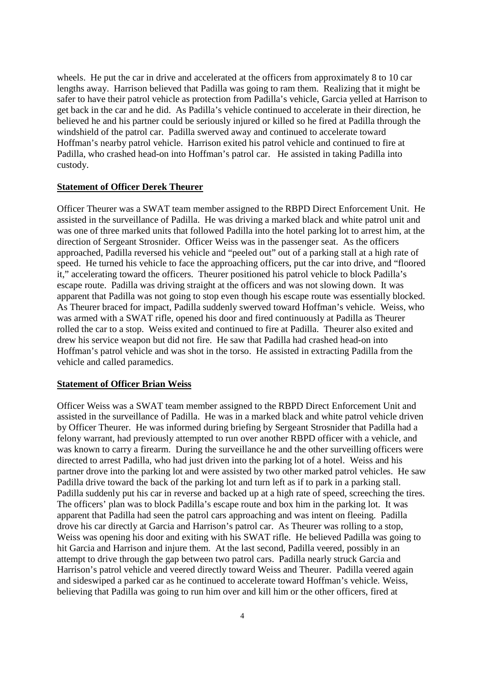wheels. He put the car in drive and accelerated at the officers from approximately 8 to 10 car lengths away. Harrison believed that Padilla was going to ram them. Realizing that it might be safer to have their patrol vehicle as protection from Padilla's vehicle, Garcia yelled at Harrison to get back in the car and he did. As Padilla's vehicle continued to accelerate in their direction, he believed he and his partner could be seriously injured or killed so he fired at Padilla through the windshield of the patrol car. Padilla swerved away and continued to accelerate toward Hoffman's nearby patrol vehicle. Harrison exited his patrol vehicle and continued to fire at Padilla, who crashed head-on into Hoffman's patrol car. He assisted in taking Padilla into custody.

#### **Statement of Officer Derek Theurer**

Officer Theurer was a SWAT team member assigned to the RBPD Direct Enforcement Unit. He assisted in the surveillance of Padilla. He was driving a marked black and white patrol unit and was one of three marked units that followed Padilla into the hotel parking lot to arrest him, at the direction of Sergeant Strosnider. Officer Weiss was in the passenger seat. As the officers approached, Padilla reversed his vehicle and "peeled out" out of a parking stall at a high rate of speed. He turned his vehicle to face the approaching officers, put the car into drive, and "floored it," accelerating toward the officers. Theurer positioned his patrol vehicle to block Padilla's escape route. Padilla was driving straight at the officers and was not slowing down. It was apparent that Padilla was not going to stop even though his escape route was essentially blocked. As Theurer braced for impact, Padilla suddenly swerved toward Hoffman's vehicle. Weiss, who was armed with a SWAT rifle, opened his door and fired continuously at Padilla as Theurer rolled the car to a stop. Weiss exited and continued to fire at Padilla. Theurer also exited and drew his service weapon but did not fire. He saw that Padilla had crashed head-on into Hoffman's patrol vehicle and was shot in the torso. He assisted in extracting Padilla from the vehicle and called paramedics.

#### **Statement of Officer Brian Weiss**

Officer Weiss was a SWAT team member assigned to the RBPD Direct Enforcement Unit and assisted in the surveillance of Padilla. He was in a marked black and white patrol vehicle driven by Officer Theurer. He was informed during briefing by Sergeant Strosnider that Padilla had a felony warrant, had previously attempted to run over another RBPD officer with a vehicle, and was known to carry a firearm. During the surveillance he and the other surveilling officers were directed to arrest Padilla, who had just driven into the parking lot of a hotel. Weiss and his partner drove into the parking lot and were assisted by two other marked patrol vehicles. He saw Padilla drive toward the back of the parking lot and turn left as if to park in a parking stall. Padilla suddenly put his car in reverse and backed up at a high rate of speed, screeching the tires. The officers' plan was to block Padilla's escape route and box him in the parking lot. It was apparent that Padilla had seen the patrol cars approaching and was intent on fleeing. Padilla drove his car directly at Garcia and Harrison's patrol car. As Theurer was rolling to a stop, Weiss was opening his door and exiting with his SWAT rifle. He believed Padilla was going to hit Garcia and Harrison and injure them. At the last second, Padilla veered, possibly in an attempt to drive through the gap between two patrol cars. Padilla nearly struck Garcia and Harrison's patrol vehicle and veered directly toward Weiss and Theurer. Padilla veered again and sideswiped a parked car as he continued to accelerate toward Hoffman's vehicle. Weiss, believing that Padilla was going to run him over and kill him or the other officers, fired at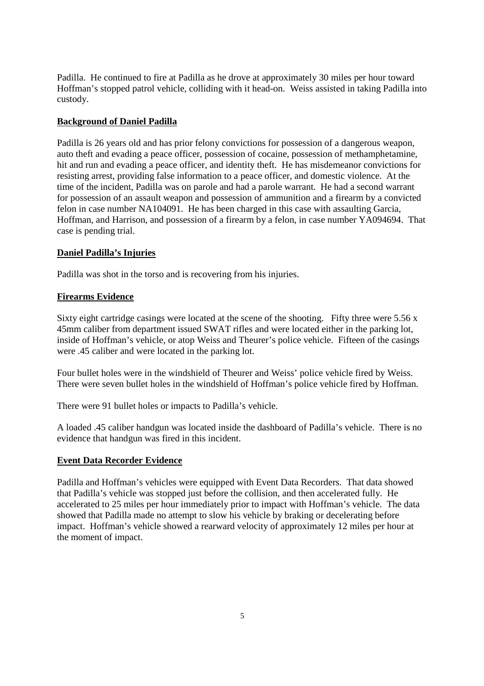Padilla. He continued to fire at Padilla as he drove at approximately 30 miles per hour toward Hoffman's stopped patrol vehicle, colliding with it head-on. Weiss assisted in taking Padilla into custody.

## **Background of Daniel Padilla**

Padilla is 26 years old and has prior felony convictions for possession of a dangerous weapon, auto theft and evading a peace officer, possession of cocaine, possession of methamphetamine, hit and run and evading a peace officer, and identity theft. He has misdemeanor convictions for resisting arrest, providing false information to a peace officer, and domestic violence. At the time of the incident, Padilla was on parole and had a parole warrant. He had a second warrant for possession of an assault weapon and possession of ammunition and a firearm by a convicted felon in case number NA104091. He has been charged in this case with assaulting Garcia, Hoffman, and Harrison, and possession of a firearm by a felon, in case number YA094694. That case is pending trial.

## **Daniel Padilla's Injuries**

Padilla was shot in the torso and is recovering from his injuries.

## **Firearms Evidence**

Sixty eight cartridge casings were located at the scene of the shooting. Fifty three were 5.56 x 45mm caliber from department issued SWAT rifles and were located either in the parking lot, inside of Hoffman's vehicle, or atop Weiss and Theurer's police vehicle. Fifteen of the casings were .45 caliber and were located in the parking lot.

Four bullet holes were in the windshield of Theurer and Weiss' police vehicle fired by Weiss. There were seven bullet holes in the windshield of Hoffman's police vehicle fired by Hoffman.

There were 91 bullet holes or impacts to Padilla's vehicle.

A loaded .45 caliber handgun was located inside the dashboard of Padilla's vehicle. There is no evidence that handgun was fired in this incident.

## **Event Data Recorder Evidence**

Padilla and Hoffman's vehicles were equipped with Event Data Recorders. That data showed that Padilla's vehicle was stopped just before the collision, and then accelerated fully. He accelerated to 25 miles per hour immediately prior to impact with Hoffman's vehicle. The data showed that Padilla made no attempt to slow his vehicle by braking or decelerating before impact. Hoffman's vehicle showed a rearward velocity of approximately 12 miles per hour at the moment of impact.